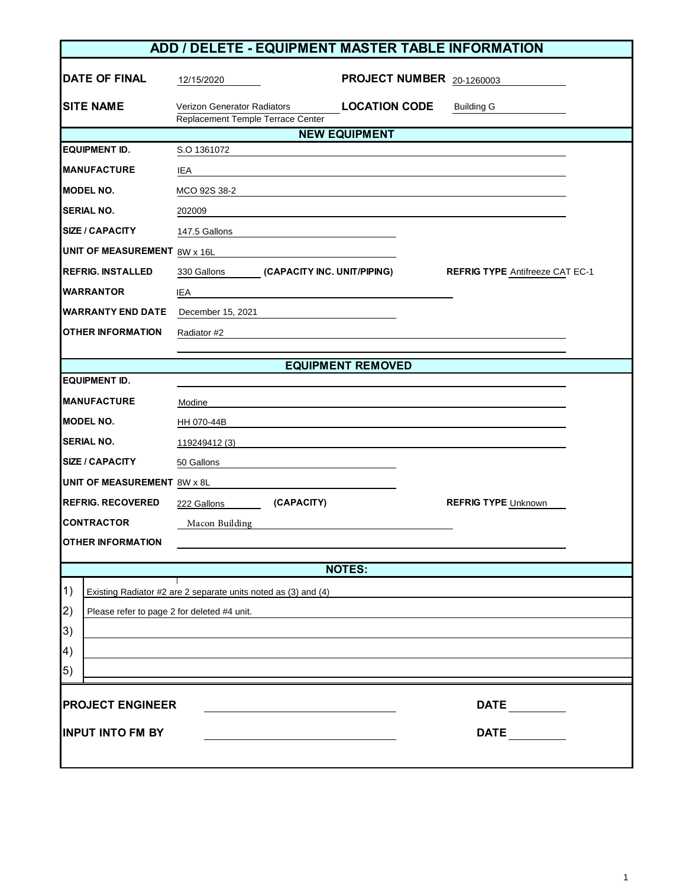|                                                                | ADD / DELETE - EQUIPMENT MASTER TABLE INFORMATION                       |                             |                           |                                        |  |  |
|----------------------------------------------------------------|-------------------------------------------------------------------------|-----------------------------|---------------------------|----------------------------------------|--|--|
| <b>DATE OF FINAL</b>                                           | 12/15/2020                                                              |                             | PROJECT NUMBER 20-1260003 |                                        |  |  |
| <b>SITE NAME</b>                                               | <b>Verizon Generator Radiators</b><br>Replacement Temple Terrace Center |                             | <b>LOCATION CODE</b>      | <b>Building G</b>                      |  |  |
|                                                                |                                                                         |                             | <b>NEW EQUIPMENT</b>      |                                        |  |  |
| <b>EQUIPMENT ID.</b>                                           | S.O 1361072                                                             |                             |                           |                                        |  |  |
| <b>MANUFACTURE</b>                                             | IEA                                                                     |                             |                           |                                        |  |  |
| <b>MODEL NO.</b>                                               | MCO 92S 38-2                                                            |                             |                           |                                        |  |  |
| <b>SERIAL NO.</b>                                              | 202009                                                                  |                             |                           |                                        |  |  |
| <b>SIZE / CAPACITY</b>                                         | 147.5 Gallons                                                           |                             |                           |                                        |  |  |
| <b>UNIT OF MEASUREMENT 8W x 16L</b>                            |                                                                         |                             |                           |                                        |  |  |
| <b>REFRIG. INSTALLED</b>                                       | 330 Gallons                                                             | (CAPACITY INC. UNIT/PIPING) |                           | <b>REFRIG TYPE Antifreeze CAT EC-1</b> |  |  |
| <b>WARRANTOR</b>                                               | IEA                                                                     |                             |                           |                                        |  |  |
| <b>WARRANTY END DATE</b>                                       | December 15, 2021                                                       |                             |                           |                                        |  |  |
| <b>OTHER INFORMATION</b>                                       | Radiator #2                                                             |                             |                           |                                        |  |  |
|                                                                |                                                                         |                             |                           |                                        |  |  |
|                                                                |                                                                         |                             | <b>EQUIPMENT REMOVED</b>  |                                        |  |  |
| <b>EQUIPMENT ID.</b>                                           |                                                                         |                             |                           |                                        |  |  |
| <b>MANUFACTURE</b>                                             | Modine                                                                  |                             |                           |                                        |  |  |
| <b>MODEL NO.</b>                                               | HH 070-44B                                                              |                             |                           |                                        |  |  |
| <b>SERIAL NO.</b>                                              | 119249412 (3)                                                           |                             |                           |                                        |  |  |
| <b>SIZE / CAPACITY</b>                                         | 50 Gallons                                                              |                             |                           |                                        |  |  |
| <b>UNIT OF MEASUREMENT 8W x 8L</b>                             |                                                                         |                             |                           |                                        |  |  |
| <b>REFRIG. RECOVERED</b>                                       | 222 Gallons                                                             | (CAPACITY)                  |                           | <b>REFRIG TYPE Unknown</b>             |  |  |
| <b>CONTRACTOR</b>                                              | Macon Building                                                          |                             |                           |                                        |  |  |
| <b>OTHER INFORMATION</b>                                       |                                                                         |                             |                           |                                        |  |  |
|                                                                |                                                                         |                             | <b>NOTES:</b>             |                                        |  |  |
| 1)                                                             |                                                                         |                             |                           |                                        |  |  |
| Existing Radiator #2 are 2 separate units noted as (3) and (4) |                                                                         |                             |                           |                                        |  |  |
| 2)<br>Please refer to page 2 for deleted #4 unit.              |                                                                         |                             |                           |                                        |  |  |
| 3)                                                             |                                                                         |                             |                           |                                        |  |  |
| 4)<br>$\vert 5)$                                               |                                                                         |                             |                           |                                        |  |  |
|                                                                |                                                                         |                             |                           |                                        |  |  |
| <b>PROJECT ENGINEER</b>                                        |                                                                         |                             |                           | <b>DATE</b>                            |  |  |
|                                                                |                                                                         |                             |                           |                                        |  |  |
| <b>INPUT INTO FM BY</b>                                        |                                                                         |                             |                           | <b>DATE</b>                            |  |  |
|                                                                |                                                                         |                             |                           |                                        |  |  |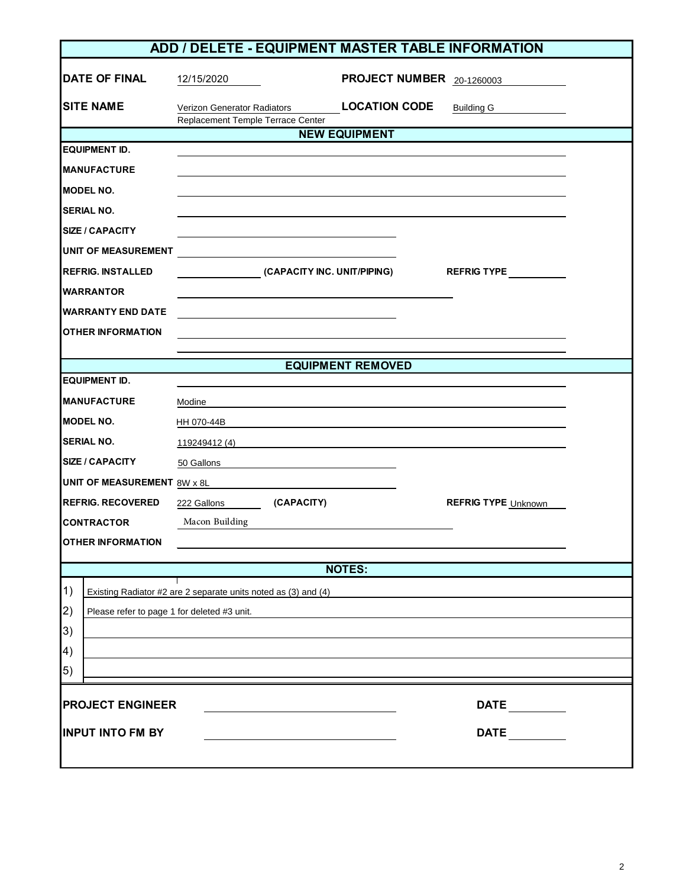|                                                   | ADD / DELETE - EQUIPMENT MASTER TABLE INFORMATION                |                           |                            |  |  |  |
|---------------------------------------------------|------------------------------------------------------------------|---------------------------|----------------------------|--|--|--|
| <b>DATE OF FINAL</b>                              | 12/15/2020                                                       | PROJECT NUMBER 20-1260003 |                            |  |  |  |
| <b>SITE NAME</b>                                  | Verizon Generator Radiators<br>Replacement Temple Terrace Center | <b>LOCATION CODE</b>      | <b>Building G</b>          |  |  |  |
|                                                   |                                                                  | <b>NEW EQUIPMENT</b>      |                            |  |  |  |
| <b>EQUIPMENT ID.</b>                              |                                                                  |                           |                            |  |  |  |
| <b>MANUFACTURE</b>                                |                                                                  |                           |                            |  |  |  |
| <b>MODEL NO.</b>                                  |                                                                  |                           |                            |  |  |  |
| <b>SERIAL NO.</b>                                 |                                                                  |                           |                            |  |  |  |
| <b>SIZE / CAPACITY</b>                            |                                                                  |                           |                            |  |  |  |
| UNIT OF MEASUREMENT                               |                                                                  |                           |                            |  |  |  |
| <b>REFRIG. INSTALLED</b>                          | (CAPACITY INC. UNIT/PIPING)                                      |                           | REFRIG TYPE                |  |  |  |
| <b>WARRANTOR</b>                                  |                                                                  |                           |                            |  |  |  |
| <b>WARRANTY END DATE</b>                          |                                                                  |                           |                            |  |  |  |
| <b>OTHER INFORMATION</b>                          |                                                                  |                           |                            |  |  |  |
|                                                   |                                                                  |                           |                            |  |  |  |
|                                                   |                                                                  | <b>EQUIPMENT REMOVED</b>  |                            |  |  |  |
| <b>EQUIPMENT ID.</b>                              |                                                                  |                           |                            |  |  |  |
| <b>MANUFACTURE</b>                                | Modine                                                           |                           |                            |  |  |  |
| <b>MODEL NO.</b>                                  | HH 070-44B                                                       |                           |                            |  |  |  |
| <b>SERIAL NO.</b>                                 | 119249412 (4)                                                    |                           |                            |  |  |  |
| <b>SIZE / CAPACITY</b>                            | 50 Gallons                                                       |                           |                            |  |  |  |
| UNIT OF MEASUREMENT 8W x 8L                       |                                                                  |                           |                            |  |  |  |
| <b>REFRIG. RECOVERED</b>                          | 222 Gallons (CAPACITY)                                           |                           | <b>REFRIG TYPE Unknown</b> |  |  |  |
| <b>CONTRACTOR</b>                                 | Macon Building                                                   |                           |                            |  |  |  |
| <b>OTHER INFORMATION</b>                          |                                                                  |                           |                            |  |  |  |
|                                                   |                                                                  | <b>NOTES:</b>             |                            |  |  |  |
| $\vert 1)$                                        | Existing Radiator #2 are 2 separate units noted as (3) and (4)   |                           |                            |  |  |  |
| 2)<br>Please refer to page 1 for deleted #3 unit. |                                                                  |                           |                            |  |  |  |
| 3)                                                |                                                                  |                           |                            |  |  |  |
| $\left(4\right)$                                  |                                                                  |                           |                            |  |  |  |
| (5)                                               |                                                                  |                           |                            |  |  |  |
|                                                   |                                                                  |                           |                            |  |  |  |
| <b>PROJECT ENGINEER</b>                           |                                                                  |                           | <b>DATE</b>                |  |  |  |
| <b>INPUT INTO FM BY</b>                           |                                                                  |                           | <b>DATE</b>                |  |  |  |
|                                                   |                                                                  |                           |                            |  |  |  |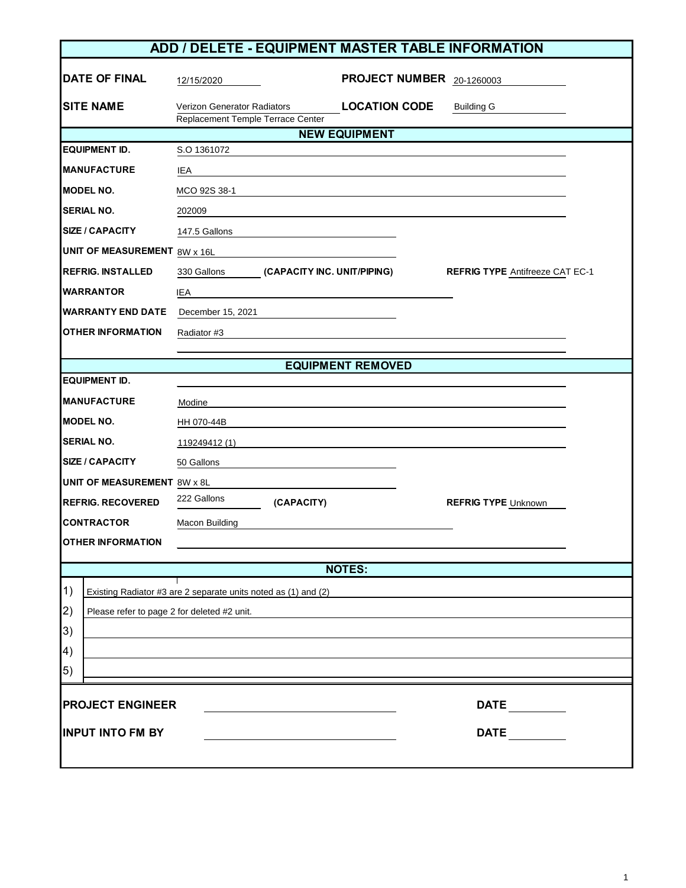| ADD / DELETE - EQUIPMENT MASTER TABLE INFORMATION                    |                                                                         |                             |                           |                                        |  |
|----------------------------------------------------------------------|-------------------------------------------------------------------------|-----------------------------|---------------------------|----------------------------------------|--|
| <b>DATE OF FINAL</b>                                                 | 12/15/2020                                                              |                             | PROJECT NUMBER 20-1260003 |                                        |  |
| <b>SITE NAME</b>                                                     | <b>Verizon Generator Radiators</b><br>Replacement Temple Terrace Center |                             | <b>LOCATION CODE</b>      | <b>Building G</b>                      |  |
|                                                                      |                                                                         |                             | <b>NEW EQUIPMENT</b>      |                                        |  |
| <b>EQUIPMENT ID.</b>                                                 | S.O 1361072                                                             |                             |                           |                                        |  |
| <b>MANUFACTURE</b>                                                   | IEA                                                                     |                             |                           |                                        |  |
| <b>MODEL NO.</b>                                                     | MCO 92S 38-1                                                            |                             |                           |                                        |  |
| <b>SERIAL NO.</b>                                                    | 202009                                                                  |                             |                           |                                        |  |
| <b>SIZE / CAPACITY</b>                                               | 147.5 Gallons                                                           |                             |                           |                                        |  |
| <b>UNIT OF MEASUREMENT 8W x 16L</b>                                  |                                                                         |                             |                           |                                        |  |
| <b>REFRIG. INSTALLED</b>                                             | 330 Gallons                                                             | (CAPACITY INC. UNIT/PIPING) |                           | <b>REFRIG TYPE Antifreeze CAT EC-1</b> |  |
| <b>WARRANTOR</b>                                                     | IEA                                                                     |                             |                           |                                        |  |
| <b>WARRANTY END DATE</b>                                             | December 15, 2021                                                       |                             |                           |                                        |  |
| <b>OTHER INFORMATION</b>                                             | Radiator #3                                                             |                             |                           |                                        |  |
|                                                                      |                                                                         |                             |                           |                                        |  |
|                                                                      |                                                                         |                             | <b>EQUIPMENT REMOVED</b>  |                                        |  |
| <b>EQUIPMENT ID.</b>                                                 |                                                                         |                             |                           |                                        |  |
| <b>MANUFACTURE</b>                                                   | Modine                                                                  |                             |                           |                                        |  |
| <b>MODEL NO.</b>                                                     | HH 070-44B                                                              |                             |                           |                                        |  |
| <b>SERIAL NO.</b>                                                    | 119249412 (1)                                                           |                             |                           |                                        |  |
| <b>SIZE / CAPACITY</b>                                               | 50 Gallons                                                              |                             |                           |                                        |  |
| <b>UNIT OF MEASUREMENT 8W x 8L</b>                                   |                                                                         |                             |                           |                                        |  |
| <b>REFRIG. RECOVERED</b>                                             | 222 Gallons                                                             | (CAPACITY)                  |                           | <b>REFRIG TYPE Unknown</b>             |  |
| <b>CONTRACTOR</b>                                                    | Macon Building                                                          |                             |                           |                                        |  |
| <b>OTHER INFORMATION</b>                                             |                                                                         |                             |                           |                                        |  |
|                                                                      |                                                                         |                             | <b>NOTES:</b>             |                                        |  |
|                                                                      |                                                                         |                             |                           |                                        |  |
| 1)<br>Existing Radiator #3 are 2 separate units noted as (1) and (2) |                                                                         |                             |                           |                                        |  |
| 2)<br>Please refer to page 2 for deleted #2 unit.                    |                                                                         |                             |                           |                                        |  |
| 3)                                                                   |                                                                         |                             |                           |                                        |  |
| 4)                                                                   |                                                                         |                             |                           |                                        |  |
| $\vert 5)$                                                           |                                                                         |                             |                           |                                        |  |
| <b>PROJECT ENGINEER</b>                                              |                                                                         |                             | <b>DATE</b>               |                                        |  |
| <b>INPUT INTO FM BY</b>                                              |                                                                         |                             |                           | <b>DATE</b>                            |  |
|                                                                      |                                                                         |                             |                           |                                        |  |